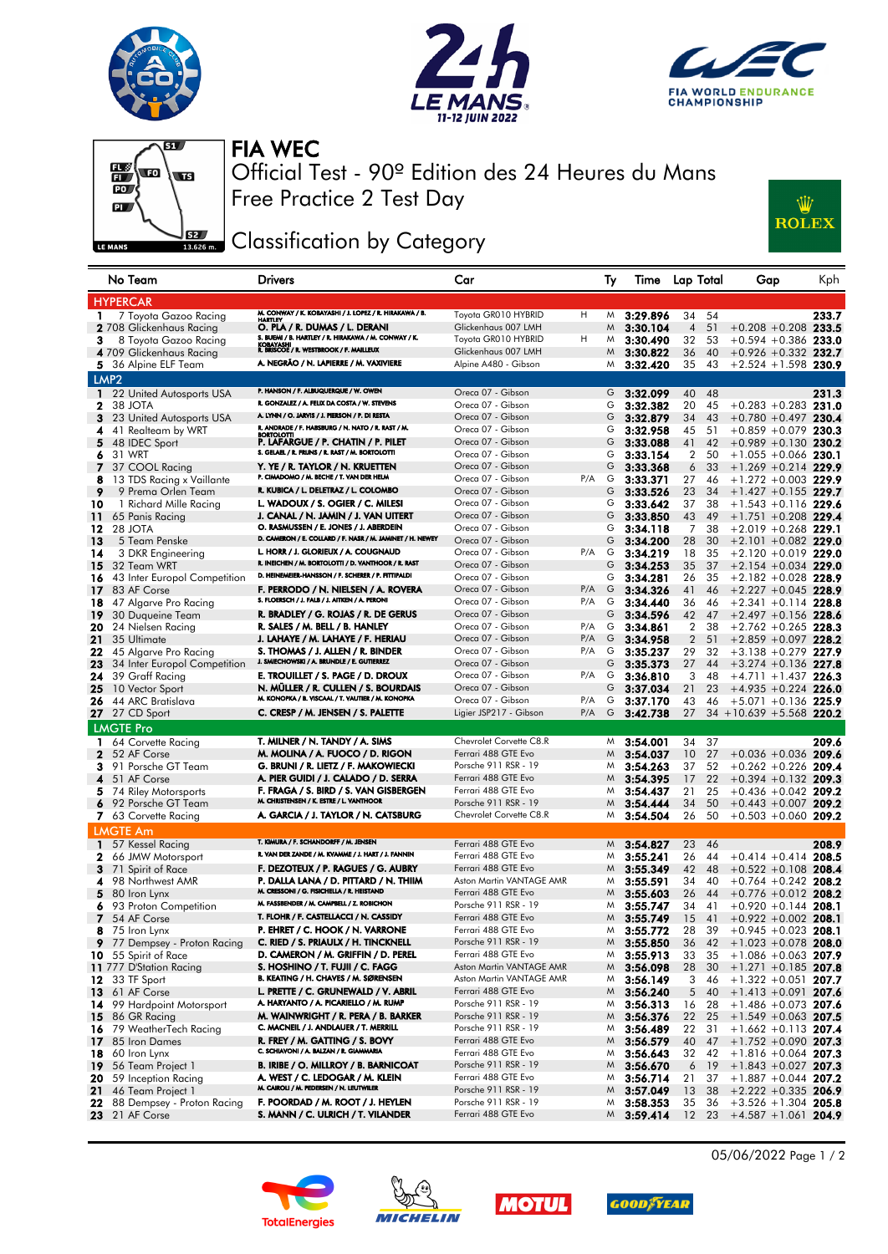





## FIA WEC



Free Practice 2 Test Day Official Test - 90º Edition des 24 Heures du Mans

## Classification by Category



| No Team                                         | <b>Drivers</b>                                                                                               | Car                                             |     | Ty     | Time                 | Lap Total                       | Gap                                              | Kph   |
|-------------------------------------------------|--------------------------------------------------------------------------------------------------------------|-------------------------------------------------|-----|--------|----------------------|---------------------------------|--------------------------------------------------|-------|
| <b>HYPERCAR</b>                                 |                                                                                                              |                                                 |     |        |                      |                                 |                                                  |       |
| 7 Toyota Gazoo Racing<br>1                      | M. CONWAY / K. KOBAYASHI / J. LOPEZ / R. HIRAKAWA / B.<br>HARTLEY                                            | Toyota GR010 HYBRID                             | H   | M      | 3:29.896             | 34<br>54                        |                                                  | 233.7 |
| <b>2</b> 708 Glickenhaus Racing                 | O. PLA / R. DUMAS / L. DERANI                                                                                | Glickenhaus 007 LMH                             |     | M      | 3:30.104             | $\overline{4}$<br>51            | $+0.208 + 0.208$ 233.5                           |       |
| 3<br>8 Toyota Gazoo Racing                      | S. BUEMI / B. HARTLEY / R. HIRAKAWA / M. CONWAY / K.<br>KOBAYASHI<br>R. BRISCOE / R. WESTBROOK / F. MAILLEUX | Toyota GR010 HYBRID                             | н   | M      | 3:30.490             | 32<br>53                        | $+0.594 + 0.386$ 233.0                           |       |
| 4 709 Glickenhaus Racing                        |                                                                                                              | Glickenhaus 007 LMH                             |     | M      | 3:30.822             | 36<br>40                        | $+0.926 +0.332$ 232.7                            |       |
| 5 36 Alpine ELF Team                            | A. NEGRÃO / N. LAPIERRE / M. VAXIVIERE                                                                       | Alpine A480 - Gibson                            |     | M      | 3:32.420             | 35<br>43                        | $+2.524 + 1.598$ 230.9                           |       |
| LMP <sub>2</sub>                                |                                                                                                              |                                                 |     |        |                      |                                 |                                                  |       |
| 22 United Autosports USA<br>$\mathbf{1}$        | P. HANSON / F. ALBUQUERQUE / W. OWEN                                                                         | Oreca 07 - Gibson                               |     | G      | 3:32.099             | 40<br>48                        |                                                  | 231.3 |
| 2<br>38 JOTA                                    | R. GONZALEZ / A. FELIX DA COSTA / W. STEVENS                                                                 | Oreca 07 - Gibson                               |     | G      | 3:32.382             | 20<br>45                        | $+0.283 + 0.283$ 231.0                           |       |
| 3<br>23 United Autosports USA                   | A. LYNN / O. JARVIS / J. PIERSON / P. DI RESTA<br>R. ANDRADE / F. HABSBURG / N. NATO / R. RAST / M.          | Oreca 07 - Gibson                               |     | G      | 3:32.879             | 34<br>43                        | $+0.780 +0.497$ 230.4                            |       |
| 4<br>41 Realteam by WRT                         | <b>BORTOLOTTI</b>                                                                                            | Oreca 07 - Gibson                               |     | G      | 3:32.958             | 45<br>51                        | $+0.859 + 0.079$ 230.3                           |       |
| 5<br>48 IDEC Sport<br>6<br>31 WRT               | P. LAFARGUE / P. CHATIN / P. PILET<br>S. GELAEL / R. FRIJNS / R. RAST / M. BORTOLOTTI                        | Oreca 07 - Gibson<br>Oreca 07 - Gibson          |     | G<br>G | 3:33.088<br>3:33.154 | 41<br>42<br>2<br>50             | $+0.989 +0.130$ 230.2<br>$+1.055 +0.066$ 230.1   |       |
| 7<br>37 COOL Racing                             | Y. YE / R. TAYLOR / N. KRUETTEN                                                                              | Oreca 07 - Gibson                               |     | G      | 3:33.368             | 6<br>33                         | $+1.269 + 0.214$ 229.9                           |       |
| 13 TDS Racing x Vaillante<br>8                  | P. CIMADOMO / M. BECHE / T. VAN DER HELM                                                                     | Oreca 07 - Gibson                               | P/A | G      | 3:33.371             | 27<br>46                        | $+1.272 + 0.003$ 229.9                           |       |
| 9<br>9 Prema Orlen Team                         | R. KUBICA / L. DELETRAZ / L. COLOMBO                                                                         | Oreca 07 - Gibson                               |     | G      | 3:33.526             | 23<br>34                        | $+1.427 +0.155$ 229.7                            |       |
| 10<br>1 Richard Mille Racing                    | L. WADOUX / S. OGIER / C. MILESI                                                                             | Oreca 07 - Gibson                               |     | G      | 3:33.642             | 37<br>38                        | $+1.543 +0.116$ 229.6                            |       |
| 11<br>65 Panis Racing                           | J. CANAL / N. JAMIN / J. VAN UITERT                                                                          | Oreca 07 - Gibson                               |     | G      | 3:33.850             | 43<br>49                        | $+1.751 + 0.208$ 229.4                           |       |
| 12<br>28 JOTA                                   | O. RASMUSSEN / E. JONES / J. ABERDEIN                                                                        | Oreca 07 - Gibson                               |     | G      | 3:34.118             | 7<br>38                         | $+2.019 + 0.268$ 229.1                           |       |
| 13<br>5 Team Penske                             | D. CAMERON / E. COLLARD / F. NASR / M. JAMINET / H. NEWEY                                                    | Oreca 07 - Gibson                               |     | G      | 3:34.200             | 28<br>30                        | $+2.101 + 0.082$ 229.0                           |       |
| 14<br>3 DKR Engineering                         | L. HORR / J. GLORIEUX / A. COUGNAUD                                                                          | Oreca 07 - Gibson                               | P/A | G      | 3:34.219             | 18<br>35                        | $+2.120 +0.019$ 229.0                            |       |
| 15<br>32 Team WRT                               | R. INEICHEN / M. BORTOLOTTI / D. VANTHOOR / R. RAST                                                          | Oreca 07 - Gibson                               |     | G      | 3:34.253             | 35<br>37                        | $+2.154 + 0.034$ 229.0                           |       |
| 43 Inter Europol Competition<br>16              | D. HEINEMEIER-HANSSON / F. SCHERER / P. FITTIPALDI                                                           | Oreca 07 - Gibson                               |     | G      | 3:34.281             | 26<br>35                        | $+2.182 + 0.028$ 228.9                           |       |
| 83 AF Corse<br>17                               | F. PERRODO / N. NIELSEN / A. ROVERA<br>S. FLOERSCH / J. FALB / J. AITKEN / A. PERONI                         | Oreca 07 - Gibson                               | P/A | G      | 3:34.326             | 41<br>46                        | $+2.227 + 0.045$ 228.9                           |       |
| 18<br>47 Algarve Pro Racing                     | R. BRADLEY / G. ROJAS / R. DE GERUS                                                                          | Oreca 07 - Gibson                               | P/A | G      | 3:34.440             | 36<br>46                        | $+2.341 +0.114$ 228.8                            |       |
| 19<br>30 Duqueine Team                          | R. SALES / M. BELL / B. HANLEY                                                                               | Oreca 07 - Gibson<br>Oreca 07 - Gibson          | P/A | G<br>G | 3:34.596             | 42<br>47                        | $+2.497 +0.156$ 228.6<br>$+2.762 + 0.265$ 228.3  |       |
| 20<br>24 Nielsen Racing<br>21<br>35 Ultimate    | J. LAHAYE / M. LAHAYE / F. HERIAU                                                                            | Oreca 07 - Gibson                               | P/A | G      | 3:34.861<br>3:34.958 | 2<br>38<br>$\overline{2}$<br>51 | $+2.859 + 0.097$ 228.2                           |       |
| 22<br>45 Algarve Pro Racing                     | S. THOMAS / J. ALLEN / R. BINDER                                                                             | Oreca 07 - Gibson                               | P/A | G      | 3:35.237             | 29<br>32                        | $+3.138 + 0.279$ 227.9                           |       |
| 23<br>34 Inter Europol Competition              | J. SMIECHOWSKI / A. BRUNDLE / E. GUTIERREZ                                                                   | Oreca 07 - Gibson                               |     | G      | 3:35.373             | 27<br>44                        | $+3.274 + 0.136$ 227.8                           |       |
| 24<br>39 Graff Racing                           | E. TROUILLET / S. PAGE / D. DROUX                                                                            | Oreca 07 - Gibson                               | P/A | G      | 3:36.810             | 3<br>48                         | $+4.711 + 1.437$ 226.3                           |       |
| 25<br>10 Vector Sport                           | N. MÜLLER / R. CULLEN / S. BOURDAIS                                                                          | Oreca 07 - Gibson                               |     | G      | 3:37.034             | 21<br>23                        | $+4.935 +0.224$ 226.0                            |       |
| 44 ARC Bratislava<br>26                         | M. KONOPKA / B. VISCAAL / T. VAUTIER / M. KONOPKA                                                            | Oreca 07 - Gibson                               | P/A | G      | 3:37.170             | 43<br>46                        | $+5.071 + 0.136$ 225.9                           |       |
| 27<br>27 CD Sport                               | C. CRESP / M. JENSEN / S. PALETTE                                                                            | Ligier JSP217 - Gibson                          | P/A | G      | 3:42.738             | 27                              | $34 + 10.639 + 5.568$ 220.2                      |       |
| <b>LMGTE Pro</b>                                |                                                                                                              |                                                 |     |        |                      |                                 |                                                  |       |
| 1 64 Corvette Racing                            | T. MILNER / N. TANDY / A. SIMS                                                                               | Chevrolet Corvette C8.R                         |     | M      | 3:54.001             | 34<br>37                        |                                                  | 209.6 |
| $\mathbf{2}$<br>52 AF Corse                     | M. MOLINA / A. FUOCO / D. RIGON                                                                              | Ferrari 488 GTE Evo                             |     | M      | 3:54.037             | 27<br>10                        | $+0.036 + 0.036$ 209.6                           |       |
| 91 Porsche GT Team<br>3.                        | G. BRUNI / R. LIETZ / F. MAKOWIECKI                                                                          | Porsche 911 RSR - 19                            |     | M      | 3:54.263             | 37<br>52                        | $+0.262 +0.226$                                  | 209.4 |
| 4<br>51 AF Corse                                | A. PIER GUIDI / J. CALADO / D. SERRA                                                                         | Ferrari 488 GTE Evo                             |     | M      | 3:54.395             | 17<br>22                        | $+0.394 + 0.132$ 209.3                           |       |
| 74 Riley Motorsports<br>5.                      | F. FRAGA / S. BIRD / S. VAN GISBERGEN                                                                        | Ferrari 488 GTE Evo                             |     | M      | 3:54.437             | 21<br>25                        | $+0.436 + 0.042$ 209.2                           |       |
| 92 Porsche GT Team<br>6                         | M. CHRISTENSEN / K. ESTRE / L. VANTHOOR                                                                      | Porsche 911 RSR - 19                            |     | M      | 3:54.444             | 34<br>50                        | $+0.443 + 0.007$ 209.2                           |       |
| 7 63 Corvette Racing                            | A. GARCIA / J. TAYLOR / N. CATSBURG                                                                          | Chevrolet Corvette C8.R                         |     | M      | 3:54.504             | 26<br>50                        | $+0.503 + 0.060$ 209.2                           |       |
| <b>LMGTE Am</b>                                 |                                                                                                              |                                                 |     |        |                      |                                 |                                                  |       |
| 57 Kessel Racing<br>$\mathbf{1}$                | T. KIMURA / F. SCHANDORFF / M. JENSEN                                                                        | Ferrari 488 GTE Evo                             |     | M      | 3:54.827             | 23<br>46                        |                                                  | 208.9 |
| 66 JMW Motorsport<br>2                          | R. VAN DER ZANDE / M. KVAMME / J. HART / J. FANNIN                                                           | Ferrari 488 GTE Evo                             |     | M      | 3:55.241             | 26<br>44                        | $+0.414 + 0.414$ 208.5                           |       |
| 3<br>71 Spirit of Race                          | F. DEZOTEUX / P. RAGUES / G. AUBRY                                                                           | Ferrari 488 GTE Evo<br>Aston Martin VANTAGE AMR |     | M      | 3:55.349             | 42<br>48                        | $+0.522 + 0.108$ 208.4                           |       |
| 98 Northwest AMR<br>4                           | P. DALLA LANA / D. PITTARD / N. THIIM<br>M. CRESSONI / G. FISICHELLA / R. HEISTAND                           | Ferrari 488 GTE Evo                             |     | M<br>M | 3:55.591             | 34<br>40<br>26                  | $+0.764 + 0.242$ 208.2                           |       |
| 5<br>80 Iron Lynx<br>93 Proton Competition<br>6 | M. FASSBENDER / M. CAMPBELL / Z. ROBICHON                                                                    | Porsche 911 RSR - 19                            |     | M      | 3:55.603<br>3:55.747 | 44<br>34<br>41                  | $+0.776 +0.012$ 208.2<br>$+0.920 +0.144$ 208.1   |       |
| 7<br>54 AF Corse                                | T. FLOHR / F. CASTELLACCI / N. CASSIDY                                                                       | Ferrari 488 GTE Evo                             |     | M      | 3:55.749             | 15<br>41                        | $+0.922 + 0.002$ 208.1                           |       |
| 75 Iron Lynx<br>8                               | P. EHRET / C. HOOK / N. VARRONE                                                                              | Ferrari 488 GTE Evo                             |     | M      | 3:55.772             | 28<br>39                        | $+0.945 + 0.023$ 208.1                           |       |
| 9 77 Dempsey - Proton Racing                    | C. RIED / S. PRIAULX / H. TINCKNELL                                                                          | Porsche 911 RSR - 19                            |     | M.     | 3:55.850             | 36<br>42                        | $+1.023 + 0.078$ 208.0                           |       |
| 10 55 Spirit of Race                            | D. CAMERON / M. GRIFFIN / D. PEREL                                                                           | Ferrari 488 GTE Evo                             |     | M      | 3:55.913             | 33<br>35                        | $+1.086 + 0.063$ 207.9                           |       |
| 11 777 D'Station Racing                         | S. HOSHINO / T. FUJII / C. FAGG                                                                              | Aston Martin VANTAGE AMR                        |     | M      | 3:56.098             | 28<br>30                        | $+1.271 +0.185$ 207.8                            |       |
| 33 TF Sport<br>12                               | B. KEATING / H. CHAVES / M. SØRENSEN                                                                         | Aston Martin VANTAGE AMR                        |     | M      | 3:56.149             | 3<br>46                         | $+1.322 +0.051$ 207.7                            |       |
| 61 AF Corse<br>13                               | L. PRETTE / C. GRUNEWALD / V. ABRIL                                                                          | Ferrari 488 GTE Evo                             |     | M      | 3:56.240             | 5<br>40                         | $+1.413 + 0.091$ 207.6                           |       |
| 99 Hardpoint Motorsport<br>14                   | A. HARYANTO / A. PICARIELLO / M. RUMP                                                                        | Porsche 911 RSR - 19                            |     | M      | 3:56.313             | 16<br>28                        | $+1.486 + 0.073$ 207.6                           |       |
| 15<br>86 GR Racing                              | M. WAINWRIGHT / R. PERA / B. BARKER                                                                          | Porsche 911 RSR - 19                            |     | M      | 3:56.376             | 22<br>25                        | $+1.549 + 0.063$ 207.5                           |       |
| 79 WeatherTech Racing<br>16.                    | C. MACNEIL / J. ANDLAUER / T. MERRILL                                                                        | Porsche 911 RSR - 19<br>Ferrari 488 GTE Evo     |     | M      | 3:56.489             | 22<br>31                        | $+1.662 +0.113$ 207.4                            |       |
| 85 Iron Dames<br>17<br>60 Iron Lynx             | R. FREY / M. GATTING / S. BOVY<br>C. SCHIAVONI / A. BALZAN / R. GIAMMARIA                                    | Ferrari 488 GTE Evo                             |     | M      | 3:56.579             | 40<br>47                        | $+1.752 +0.090$ 207.3                            |       |
| 18<br>19<br>56 Team Project 1                   | <b>B. IRIBE / O. MILLROY / B. BARNICOAT</b>                                                                  | Porsche 911 RSR - 19                            |     | M<br>M | 3:56.643<br>3:56.670 | 32<br>42<br>6<br>-19            | $+1.816 + 0.064$ 207.3<br>$+1.843 + 0.027$ 207.3 |       |
| 59 Inception Racing<br>20                       | A. WEST / C. LEDOGAR / M. KLEIN                                                                              | Ferrari 488 GTE Evo                             |     | M      | 3:56.714             | 21<br>37                        | $+1.887 + 0.044$ 207.2                           |       |
| 46 Team Project 1<br>21                         | M. CAIROLI / M. PEDERSEN / N. LEUTWILER                                                                      | Porsche 911 RSR - 19                            |     | M      | 3:57.049             | 13<br>38                        | $+2.222 + 0.335$ 206.9                           |       |
| 88 Dempsey - Proton Racing<br>22                | F. POORDAD / M. ROOT / J. HEYLEN                                                                             | Porsche 911 RSR - 19                            |     | M      | 3:58.353             | 35<br>36                        | $+3.526 + 1.304$ 205.8                           |       |
| 21 AF Corse<br>23                               | S. MANN / C. ULRICH / T. VILANDER                                                                            | Ferrari 488 GTE Evo                             |     | M.     | 3:59.414             | 12<br>23                        | $+4.587 + 1.061$ 204.9                           |       |
|                                                 |                                                                                                              |                                                 |     |        |                      |                                 |                                                  |       |









05/06/2022 Page 1 / 2